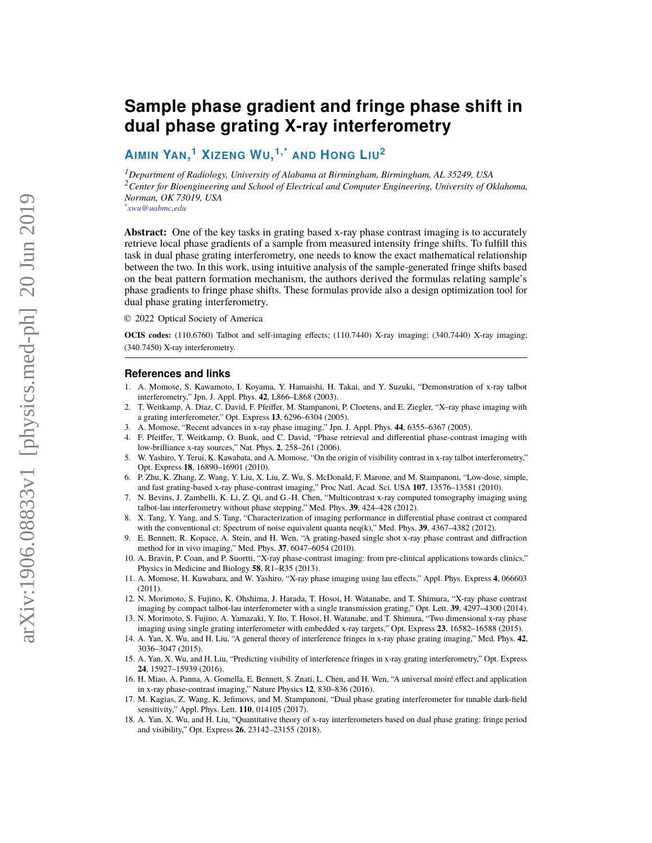# **Sample phase gradient and fringe phase shift in dual phase grating X-ray interferometry**

## **AIMIN YAN, <sup>1</sup> XIZENG WU, 1,\* AND HONG LIU<sup>2</sup>**

*<sup>1</sup>Department of Radiology, University of Alabama at Birmingham, Birmingham, AL 35249, USA <sup>2</sup>Center for Bioengineering and School of Electrical and Computer Engineering, University of Oklahoma, Norman, OK 73019, USA \* xwu@uabmc.edu*

**Abstract:** One of the key tasks in grating based x-ray phase contrast imaging is to accurately retrieve local phase gradients of a sample from measured intensity fringe shifts. To fulfill this task in dual phase grating interferometry, one needs to know the exact mathematical relationship between the two. In this work, using intuitive analysis of the sample-generated fringe shifts based on the beat pattern formation mechanism, the authors derived the formulas relating sample's phase gradients to fringe phase shifts. These formulas provide also a design optimization tool for dual phase grating interferometry.

© 2022 Optical Society of America

**OCIS codes:** (110.6760) Talbot and self-imaging effects; (110.7440) X-ray imaging; (340.7440) X-ray imaging; (340.7450) X-ray interferometry.

#### **References and links**

- <span id="page-0-0"></span>1. A. Momose, S. Kawamoto, I. Koyama, Y. Hamaishi, H. Takai, and Y. Suzuki, "Demonstration of x-ray talbot interferometry," Jpn. J. Appl. Phys. **42**, L866–L868 (2003).
- 2. T. Weitkamp, A. Diaz, C. David, F. Pfeiffer, M. Stampanoni, P. Cloetens, and E. Ziegler, "X–ray phase imaging with a grating interferometer," Opt. Express **13**, 6296–6304 (2005).
- 3. A. Momose, "Recent advances in x-ray phase imaging," Jpn. J. Appl. Phys. **44**, 6355–6367 (2005).
- <span id="page-0-1"></span>4. F. Pfeiffer, T. Weitkamp, O. Bunk, and C. David, "Phase retrieval and differential phase-contrast imaging with low-brilliance x-ray sources," Nat. Phys. **2**, 258–261 (2006).
- 5. W. Yashiro, Y. Terui, K. Kawabata, and A. Momose, "On the origin of visibility contrast in x-ray talbot interferometry," Opt. Express **18**, 16890–16901 (2010).
- 6. P. Zhu, K. Zhang, Z. Wang, Y. Liu, X. Liu, Z. Wu, S. McDonald, F. Marone, and M. Stampanoni, "Low-dose, simple, and fast grating-based x-ray phase-contrast imaging," Proc Natl. Acad. Sci. USA **107**, 13576–13581 (2010).
- 7. N. Bevins, J. Zambelli, K. Li, Z. Qi, and G.-H. Chen, "Multicontrast x-ray computed tomography imaging using talbot-lau interferometry without phase stepping," Med. Phys. **39**, 424–428 (2012).
- 8. X. Tang, Y. Yang, and S. Tang, "Characterization of imaging performance in differential phase contrast ct compared with the conventional ct: Spectrum of noise equivalent quanta neq(k)," Med. Phys. **39**, 4367–4382 (2012).
- 9. E. Bennett, R. Kopace, A. Stein, and H. Wen, "A grating-based single shot x-ray phase contrast and diffraction method for in vivo imaging," Med. Phys. **37**, 6047–6054 (2010).
- 10. A. Bravin, P. Coan, and P. Suortti, "X-ray phase-contrast imaging: from pre-clinical applications towards clinics," Physics in Medicine and Biology **58**, R1–R35 (2013).
- 11. A. Momose, H. Kuwabara, and W. Yashiro, "X-ray phase imaging using lau effects," Appl. Phys. Express **4**, 066603 (2011).
- 12. N. Morimoto, S. Fujino, K. Ohshima, J. Harada, T. Hosoi, H. Watanabe, and T. Shimura, "X-ray phase contrast imaging by compact talbot-lau interferometer with a single transmission grating," Opt. Lett. **39**, 4297–4300 (2014).
- 13. N. Morimoto, S. Fujino, A. Yamazaki, Y. Ito, T. Hosoi, H. Watanabe, and T. Shimura, "Two dimensional x-ray phase imaging using single grating interferometer with embedded x-ray targets," Opt. Express **23**, 16582–16588 (2015).
- 14. A. Yan, X. Wu, and H. Liu, "A general theory of interference fringes in x-ray phase grating imaging," Med. Phys. **42**, 3036–3047 (2015).
- <span id="page-0-2"></span>15. A. Yan, X. Wu, and H. Liu, "Predicting visibility of interference fringes in x-ray grating interferometry," Opt. Express **24**, 15927–15939 (2016).
- <span id="page-0-3"></span>16. H. Miao, A. Panna, A. Gomella, E. Bennett, S. Znati, L. Chen, and H. Wen, "A universal moiré effect and application in x-ray phase-contrast imaging," Nature Physics **12**, 830–836 (2016).
- 17. M. Kagias, Z. Wang, K. Jefimovs, and M. Stampanoni, "Dual phase grating interferometer for tunable dark-field sensitivity," Appl. Phys. Lett. **110**, 014105 (2017).
- <span id="page-0-4"></span>18. A. Yan, X. Wu, and H. Liu, "Quantitative theory of x-ray interferometers based on dual phase grating: fringe period and visibility," Opt. Express **26**, 23142–23155 (2018).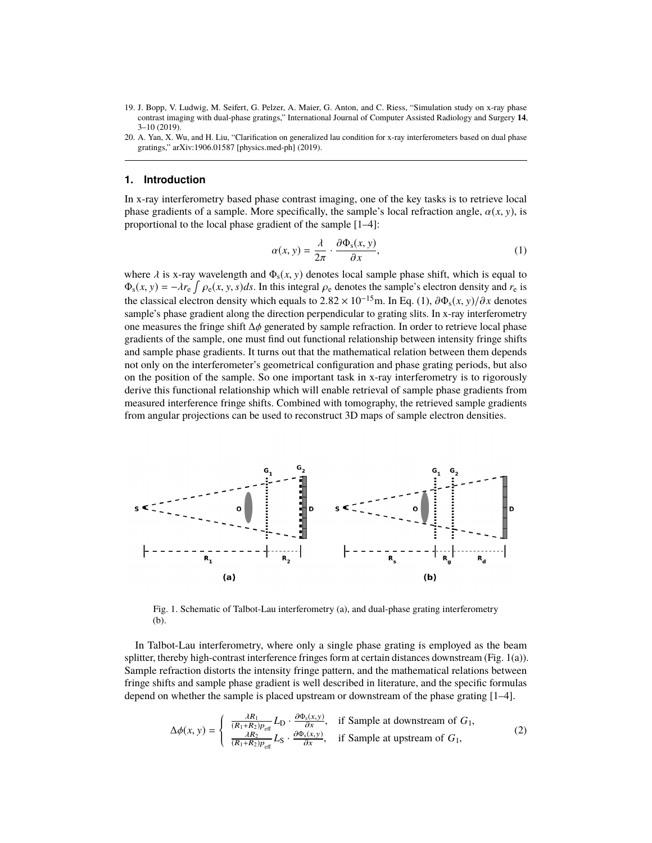<span id="page-1-3"></span>19. J. Bopp, V. Ludwig, M. Seifert, G. Pelzer, A. Maier, G. Anton, and C. Riess, "Simulation study on x-ray phase contrast imaging with dual-phase gratings," International Journal of Computer Assisted Radiology and Surgery **14**, 3–10 (2019).

#### **1. Introduction**

In x-ray interferometry based phase contrast imaging, one of the key tasks is to retrieve local phase gradients of a sample. More specifically, the sample's local refraction angle,  $\alpha(x, y)$ , is proportional to the local phase gradient of the sample [\[1–](#page-0-0)[4\]](#page-0-1):

<span id="page-1-0"></span>
$$
\alpha(x, y) = \frac{\lambda}{2\pi} \cdot \frac{\partial \Phi_s(x, y)}{\partial x},\tag{1}
$$

where  $\lambda$  is x-ray wavelength and  $\Phi_s(x, y)$  denotes local sample phase shift, which is equal to  $\Phi(x, y) = -\lambda x$ ,  $\int \rho(x, y, s) ds$ . In this integral  $\alpha$  denotes the sample's electron density and x is  $\Phi_s(x, y) = -\lambda r_e \int \rho_e(x, y, s) ds$ . In this integral  $\rho_e$  denotes the sample's electron density and  $r_e$  is the algorithm denotes the sample of  $2.82 \times 10^{-15}$  m. In Eq. (1),  $\frac{2\Phi}{\phi}$  (x, y)  $\left(\frac{\lambda}{2}x\right)$  denotes the classical electron density which equals to  $2.82 \times 10^{-15}$ m. In Eq. [\(1\)](#page-1-0),  $\partial \Phi_s(x, y)/\partial x$  denotes sample's phase gradient along the direction perpendicular to grating slits. In x-ray interferometry one measures the fringe shift <sup>∆</sup>φ generated by sample refraction. In order to retrieve local phase gradients of the sample, one must find out functional relationship between intensity fringe shifts and sample phase gradients. It turns out that the mathematical relation between them depends not only on the interferometer's geometrical configuration and phase grating periods, but also on the position of the sample. So one important task in x-ray interferometry is to rigorously derive this functional relationship which will enable retrieval of sample phase gradients from measured interference fringe shifts. Combined with tomography, the retrieved sample gradients from angular projections can be used to reconstruct 3D maps of sample electron densities.



<span id="page-1-1"></span>Fig. 1. Schematic of Talbot-Lau interferometry (a), and dual-phase grating interferometry (b).

In Talbot-Lau interferometry, where only a single phase grating is employed as the beam splitter, thereby high-contrast interference fringes form at certain distances downstream (Fig. [1\(](#page-1-1)a)). Sample refraction distorts the intensity fringe pattern, and the mathematical relations between fringe shifts and sample phase gradient is well described in literature, and the specific formulas depend on whether the sample is placed upstream or downstream of the phase grating [\[1](#page-0-0)[–4\]](#page-0-1).

<span id="page-1-2"></span>
$$
\Delta\phi(x, y) = \begin{cases}\n\frac{\lambda R_1}{(R_1 + R_2)p_{\text{eff}}} L_{\text{D}} \cdot \frac{\partial \Phi_s(x, y)}{\partial x}, & \text{if Sample at downstream of } G_1, \\
\frac{\lambda R_2}{(R_1 + R_2)p_{\text{eff}}} L_{\text{S}} \cdot \frac{\partial \Phi_s(x, y)}{\partial x}, & \text{if Sample at upstream of } G_1,\n\end{cases}
$$
\n(2)

<span id="page-1-4"></span><sup>20.</sup> A. Yan, X. Wu, and H. Liu, "Clarification on generalized lau condition for x-ray interferometers based on dual phase gratings," arXiv:1906.01587 [physics.med-ph] (2019).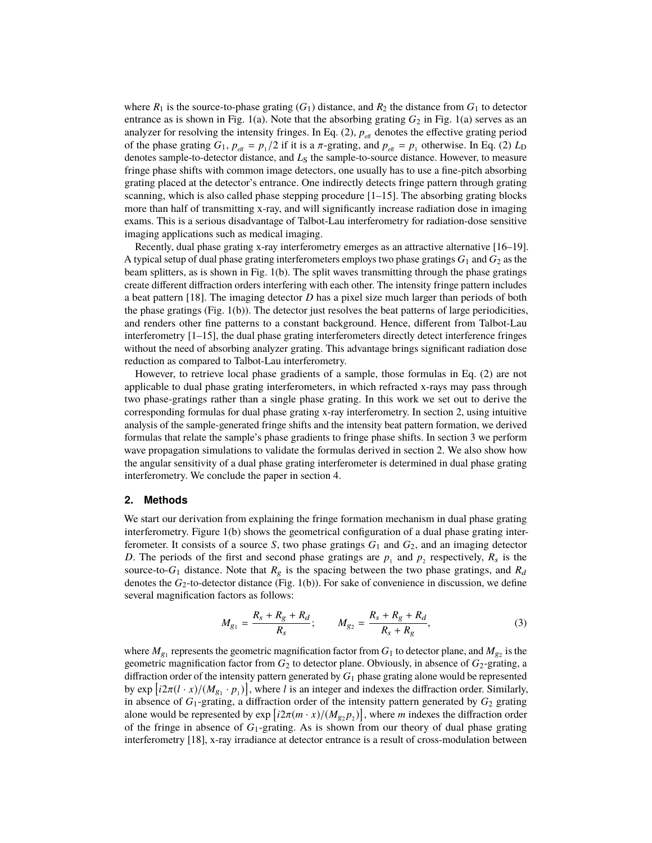where  $R_1$  is the source-to-phase grating  $(G_1)$  distance, and  $R_2$  the distance from  $G_1$  to detector entrance as is shown in Fig. [1\(](#page-1-1)a). Note that the absorbing grating  $G_2$  in Fig. 1(a) serves as an analyzer for resolving the intensity fringes. In Eq.  $(2)$ ,  $p_{\text{eff}}$  denotes the effective grating period of the phase grating *G*<sub>1</sub>,  $p_{\text{eff}} = p_1/2$  if it is a π-grating, and  $p_{\text{eff}} = p_1$  otherwise. In Eq. [\(2\)](#page-1-2)  $L_D$ <br>denotes sample-to-detector distance, and *L*<sub>0</sub> the sample-to-source distance. However, to measure denotes sample-to-detector distance, and *L*<sub>S</sub> the sample-to-source distance. However, to measure fringe phase shifts with common image detectors, one usually has to use a fine-pitch absorbing grating placed at the detector's entrance. One indirectly detects fringe pattern through grating scanning, which is also called phase stepping procedure [\[1](#page-0-0)[–15\]](#page-0-2). The absorbing grating blocks more than half of transmitting x-ray, and will significantly increase radiation dose in imaging exams. This is a serious disadvantage of Talbot-Lau interferometry for radiation-dose sensitive imaging applications such as medical imaging.

Recently, dual phase grating x-ray interferometry emerges as an attractive alternative [\[16](#page-0-3)[–19\]](#page-1-3). A typical setup of dual phase grating interferometers employs two phase gratings  $G_1$  and  $G_2$  as the beam splitters, as is shown in Fig. [1\(](#page-1-1)b). The split waves transmitting through the phase gratings create different diffraction orders interfering with each other. The intensity fringe pattern includes a beat pattern [\[18\]](#page-0-4). The imaging detector *D* has a pixel size much larger than periods of both the phase gratings (Fig. [1\(](#page-1-1)b)). The detector just resolves the beat patterns of large periodicities, and renders other fine patterns to a constant background. Hence, different from Talbot-Lau interferometry  $[1-15]$  $[1-15]$ , the dual phase grating interferometers directly detect interference fringes without the need of absorbing analyzer grating. This advantage brings significant radiation dose reduction as compared to Talbot-Lau interferometry.

However, to retrieve local phase gradients of a sample, those formulas in Eq. [\(2\)](#page-1-2) are not applicable to dual phase grating interferometers, in which refracted x-rays may pass through two phase-gratings rather than a single phase grating. In this work we set out to derive the corresponding formulas for dual phase grating x-ray interferometry. In section [2,](#page-2-0) using intuitive analysis of the sample-generated fringe shifts and the intensity beat pattern formation, we derived formulas that relate the sample's phase gradients to fringe phase shifts. In section [3](#page-5-0) we perform wave propagation simulations to validate the formulas derived in section [2.](#page-2-0) We also show how the angular sensitivity of a dual phase grating interferometer is determined in dual phase grating interferometry. We conclude the paper in section [4.](#page-8-0)

#### <span id="page-2-0"></span>**2. Methods**

We start our derivation from explaining the fringe formation mechanism in dual phase grating interferometry. Figure [1\(](#page-1-1)b) shows the geometrical configuration of a dual phase grating interferometer. It consists of a source *S*, two phase gratings  $G_1$  and  $G_2$ , and an imaging detector *D*. The periods of the first and second phase gratings are  $p_1$  and  $p_2$  respectively,  $R_s$  is the source-to- $G_1$  distance. Note that  $R_g$  is the spacing between the two phase gratings, and  $R_d$ denotes the *G*2-to-detector distance (Fig. [1\(](#page-1-1)b)). For sake of convenience in discussion, we define several magnification factors as follows:

$$
M_{g_1} = \frac{R_s + R_g + R_d}{R_s}; \qquad M_{g_2} = \frac{R_s + R_g + R_d}{R_s + R_g}, \tag{3}
$$

where  $M_{g_1}$  represents the geometric magnification factor from  $G_1$  to detector plane, and  $M_{g_2}$  is the geometric magnification factor from *G*<sup>2</sup> to detector plane. Obviously, in absence of *G*2-grating, a diffraction order of the intensity pattern generated by  $G_1$  phase grating alone would be represented by  $\exp\left[i2\pi(l \cdot x)/(M_{g_1} \cdot p_1)\right]$ , where *l* is an integer and indexes the diffraction order. Similarly, in absence of  $G_1$ -grating a diffraction order of the intensity pattern generated by  $G_2$  grating in absence of  $G_1$ -grating, a diffraction order of the intensity pattern generated by  $G_2$  grating alone would be represented by  $exp[i2\pi(m \cdot x)/(M_{g_2}p_2)]$ , where *m* indexes the diffraction order<br>of the fringe in absence of  $G_1$ -grating. As is shown from our theory of dual phase grating of the fringe in absence of *G*1-grating. As is shown from our theory of dual phase grating interferometry [\[18\]](#page-0-4), x-ray irradiance at detector entrance is a result of cross-modulation between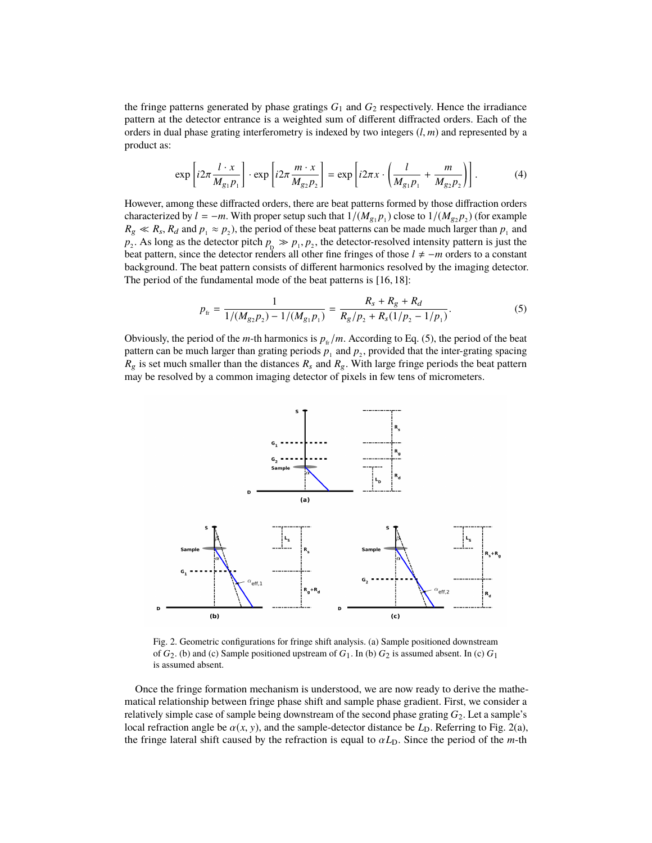the fringe patterns generated by phase gratings  $G_1$  and  $G_2$  respectively. Hence the irradiance pattern at the detector entrance is a weighted sum of different diffracted orders. Each of the orders in dual phase grating interferometry is indexed by two integers (*l*, *<sup>m</sup>*) and represented by a product as:

<span id="page-3-2"></span>
$$
\exp\left[i2\pi \frac{l \cdot x}{M_{g_1 P_1}}\right] \cdot \exp\left[i2\pi \frac{m \cdot x}{M_{g_2 P_2}}\right] = \exp\left[i2\pi x \cdot \left(\frac{l}{M_{g_1 P_1}} + \frac{m}{M_{g_2 P_2}}\right)\right].
$$
 (4)

However, among these diffracted orders, there are beat patterns formed by those diffraction orders characterized by  $l = -m$ . With proper setup such that  $1/(M_{g_1}p_1)$  close to  $1/(M_{g_2}p_2)$  (for example  $R_g \ll R_s$ ,  $R_d$  and  $p_1 \approx p_2$ ), the period of these beat patterns can be made much larger than  $p_1$  and  $p_2$ .  $p_2$ . As long as the detector pitch  $p_p \gg p_1, p_2$ , the detector-resolved intensity pattern is just the heat pattern since the detector renders all other fine fringes of those  $l \neq -m$  orders to a constant beat pattern, since the detector renders all other fine fringes of those  $l \neq -m$  orders to a constant background. The beat pattern consists of different harmonics resolved by the imaging detector. The period of the fundamental mode of the beat patterns is [\[16,](#page-0-3) [18\]](#page-0-4):

<span id="page-3-0"></span>
$$
p_{\text{fr}} = \frac{1}{1/(M_{g_2}p_2) - 1/(M_{g_1}p_1)} = \frac{R_s + R_g + R_d}{R_g/p_2 + R_s(1/p_2 - 1/p_1)}.
$$
(5)

Obviously, the period of the *m*-th harmonics is  $p_f/m$ . According to Eq. [\(5\)](#page-3-0), the period of the beat pattern can be much larger than grating periods  $p_1$  and  $p_2$ , provided that the inter-grating spacing  $R_g$  is set much smaller than the distances  $R_s$  and  $R_g$ . With large fringe periods the beat pattern may be resolved by a common imaging detector of pixels in few tens of micrometers.



<span id="page-3-1"></span>Fig. 2. Geometric configurations for fringe shift analysis. (a) Sample positioned downstream of  $G_2$ . (b) and (c) Sample positioned upstream of  $G_1$ . In (b)  $G_2$  is assumed absent. In (c)  $G_1$ is assumed absent.

Once the fringe formation mechanism is understood, we are now ready to derive the mathematical relationship between fringe phase shift and sample phase gradient. First, we consider a relatively simple case of sample being downstream of the second phase grating *G*2. Let a sample's local refraction angle be  $\alpha(x, y)$ , and the sample-detector distance be  $L<sub>D</sub>$ . Referring to Fig. [2\(](#page-3-1)a), the fringe lateral shift caused by the refraction is equal to  $\alpha L<sub>D</sub>$ . Since the period of the *m*-th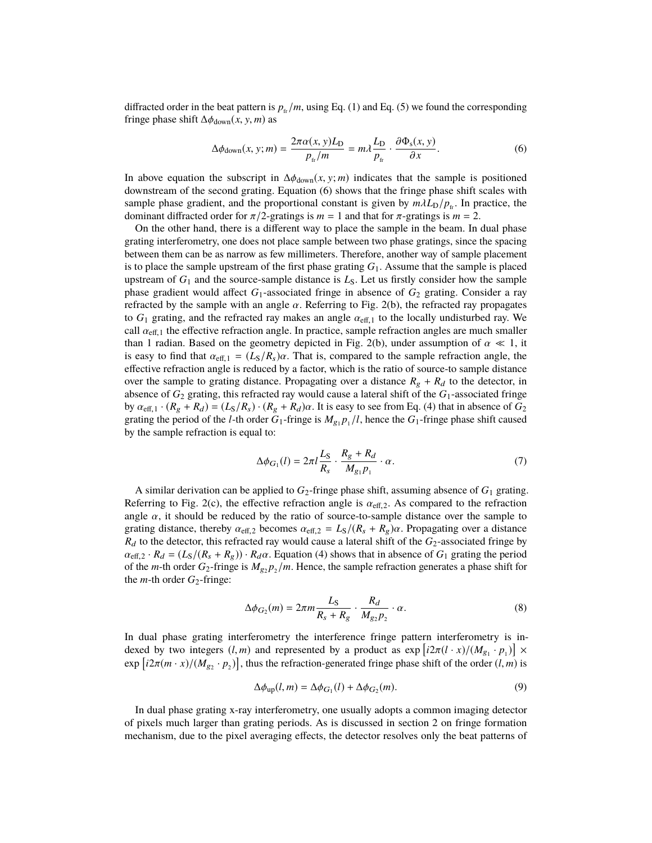diffracted order in the beat pattern is  $p_{fr}/m$ , using Eq. [\(1\)](#page-1-0) and Eq. [\(5\)](#page-3-0) we found the corresponding fringe phase shift  $\Delta \phi_{\text{down}}(x, y, m)$  as

<span id="page-4-0"></span>
$$
\Delta\phi_{\text{down}}(x, y; m) = \frac{2\pi\alpha(x, y)L_D}{p_{\text{fr}}/m} = m\lambda \frac{L_D}{p_{\text{fr}}} \cdot \frac{\partial \Phi_{\text{s}}(x, y)}{\partial x}.
$$
(6)

In above equation the subscript in  $\Delta\phi_{\text{down}}(x, y; m)$  indicates that the sample is positioned downstream of the second grating. Equation [\(6\)](#page-4-0) shows that the fringe phase shift scales with sample phase gradient, and the proportional constant is given by  $m\lambda L_D/p_f$ . In practice, the dominant diffracted order for  $\pi/2$ -gratings is  $m = 1$  and that for  $\pi$ -gratings is  $m = 2$ .

On the other hand, there is a different way to place the sample in the beam. In dual phase grating interferometry, one does not place sample between two phase gratings, since the spacing between them can be as narrow as few millimeters. Therefore, another way of sample placement is to place the sample upstream of the first phase grating  $G_1$ . Assume that the sample is placed upstream of  $G_1$  and the source-sample distance is  $L_S$ . Let us firstly consider how the sample phase gradient would affect *G*1-associated fringe in absence of *G*<sup>2</sup> grating. Consider a ray refracted by the sample with an angle  $\alpha$ . Referring to Fig. [2\(](#page-3-1)b), the refracted ray propagates to  $G_1$  grating, and the refracted ray makes an angle  $\alpha_{\text{eff},1}$  to the locally undisturbed ray. We call  $\alpha_{\text{eff},1}$  the effective refraction angle. In practice, sample refraction angles are much smaller than 1 radian. Based on the geometry depicted in Fig. [2\(](#page-3-1)b), under assumption of  $\alpha \ll 1$ , it is easy to find that  $\alpha_{\text{eff,1}} = (L_S/R_s)\alpha$ . That is, compared to the sample refraction angle, the effective refraction angle is reduced by a factor, which is the ratio of source-to sample distance over the sample to grating distance. Propagating over a distance  $R_g + R_d$  to the detector, in absence of *G*<sup>2</sup> grating, this refracted ray would cause a lateral shift of the *G*1-associated fringe by  $\alpha_{\text{eff,1}} \cdot (R_g + R_d) = (L_S/R_s) \cdot (R_g + R_d) \alpha$ . It is easy to see from Eq. [\(4\)](#page-3-2) that in absence of *G*<sub>2</sub> grating the period of the *l*-th order  $G_1$ -fringe is  $M_{g_1}p_1/l$ , hence the  $G_1$ -fringe phase shift caused by the sample refraction is equal to:

$$
\Delta \phi_{G_1}(l) = 2\pi l \frac{L_S}{R_s} \cdot \frac{R_g + R_d}{M_{g_1} p_1} \cdot \alpha. \tag{7}
$$

A similar derivation can be applied to *G*2-fringe phase shift, assuming absence of *G*<sup>1</sup> grating. Referring to Fig. [2\(](#page-3-1)c), the effective refraction angle is  $\alpha_{\text{eff},2}$ . As compared to the refraction angle  $\alpha$ , it should be reduced by the ratio of source-to-sample distance over the sample to grating distance, thereby  $\alpha_{\text{eff,2}}$  becomes  $\alpha_{\text{eff,2}} = L_s/(R_s + R_g)\alpha$ . Propagating over a distance  $R_d$  to the detector, this refracted ray would cause a lateral shift of the  $G_2$ -associated fringe by  $\alpha_{\text{eff,2}} \cdot R_d = (L_S/(R_s + R_g)) \cdot R_d \alpha$ . Equation [\(4\)](#page-3-2) shows that in absence of  $G_1$  grating the period of the *m*-th order  $G_2$ -fringe is  $M_{g_2}p_2/m$ . Hence, the sample refraction generates a phase shift for the  $m$ -th order  $G_2$ -fringe:

$$
\Delta \phi_{G_2}(m) = 2\pi m \frac{L_S}{R_s + R_g} \cdot \frac{R_d}{M_{g_2 P_2}} \cdot \alpha. \tag{8}
$$

In dual phase grating interferometry the interference fringe pattern interferometry is indexed by two integers  $(l, m)$  and represented by a product as  $\exp\left[i2\pi (l \cdot x)/(M_{g_1} \cdot p_1)\right] \times$ <br> $\exp\left[i2\pi (m - x)/(M_{g_1} \cdot p_1)\right]$  thus the refrection generated fringe phase shift of the order  $(l, m)$  is  $\exp[i2\pi(m \cdot x)/(M_{g_2} \cdot p_2)]$ , thus the refraction-generated fringe phase shift of the order  $(l, m)$  is

<span id="page-4-1"></span>
$$
\Delta \phi_{\text{up}}(l, m) = \Delta \phi_{G_1}(l) + \Delta \phi_{G_2}(m). \tag{9}
$$

In dual phase grating x-ray interferometry, one usually adopts a common imaging detector of pixels much larger than grating periods. As is discussed in section [2](#page-2-0) on fringe formation mechanism, due to the pixel averaging effects, the detector resolves only the beat patterns of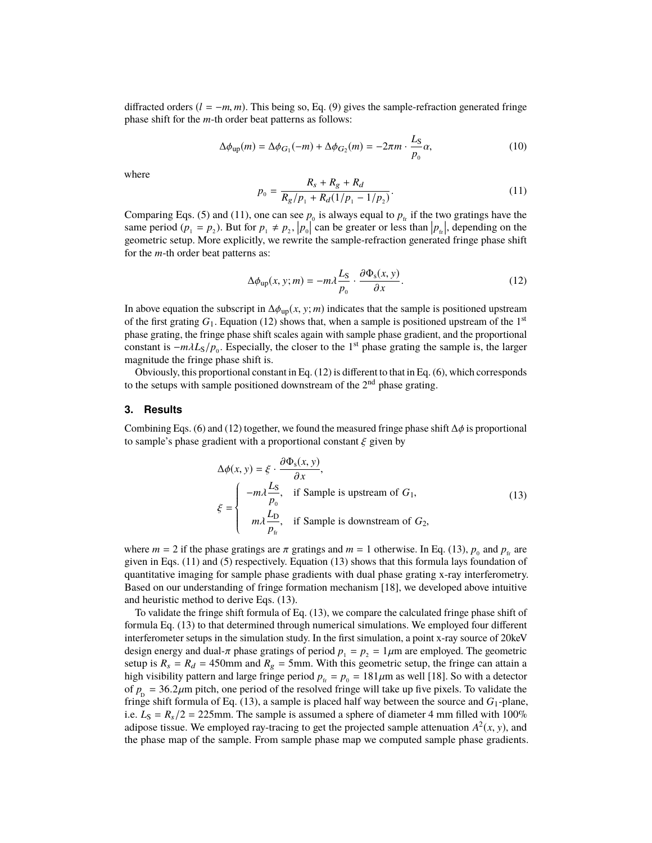diffracted orders  $(l = -m, m)$ . This being so, Eq. [\(9\)](#page-4-1) gives the sample-refraction generated fringe phase shift for the *m*-th order beat patterns as follows:

$$
\Delta\phi_{\text{up}}(m) = \Delta\phi_{G_1}(-m) + \Delta\phi_{G_2}(m) = -2\pi m \cdot \frac{L_S}{p_0}\alpha,\tag{10}
$$

where

<span id="page-5-1"></span>
$$
p_0 = \frac{R_s + R_g + R_d}{R_g / p_1 + R_d (1 / p_1 - 1 / p_2)}.
$$
\n(11)

Comparing Eqs. [\(5\)](#page-3-0) and [\(11\)](#page-5-1), one can see  $p_0$  is always equal to  $p_{\text{fr}}$  if the two gratings have the same period  $(p_1 = p_2)$ . But for  $p_1 \neq p_2$ ,  $|p_0|$  can be greater or less than  $|p_{\text{fr}}|$ , depending on the geometric setup. More explicitly, we rewrite the sample-refraction generated fringe phase shift for the *m*-th order beat patterns as:

<span id="page-5-2"></span>
$$
\Delta \phi_{\rm up}(x, y; m) = -m\lambda \frac{L_{\rm S}}{p_{\rm o}} \cdot \frac{\partial \Phi_{\rm s}(x, y)}{\partial x}.
$$
\n(12)

In above equation the subscript in  $\Delta\phi_{\text{up}}(x, y; m)$  indicates that the sample is positioned upstream of the first grating  $G_1$ . Equation [\(12\)](#page-5-2) shows that, when a sample is positioned upstream of the 1<sup>st</sup> phase grating, the fringe phase shift scales again with sample phase gradient, and the proportional constant is  $-m\lambda L_S/p_0$ . Especially, the closer to the 1<sup>st</sup> phase grating the sample is, the larger magnitude the fringe phase shift is magnitude the fringe phase shift is.

Obviously, this proportional constant in Eq. [\(12\)](#page-5-2) is different to that in Eq. [\(6\)](#page-4-0), which corresponds to the setups with sample positioned downstream of the 2<sup>nd</sup> phase grating.

#### <span id="page-5-0"></span>**3. Results**

Combining Eqs. [\(6\)](#page-4-0) and [\(12\)](#page-5-2) together, we found the measured fringe phase shift  $\Delta \phi$  is proportional to sample's phase gradient with a proportional constant  $\xi$  given by

<span id="page-5-3"></span>
$$
\Delta \phi(x, y) = \xi \cdot \frac{\partial \Phi_s(x, y)}{\partial x},
$$
\n
$$
\xi = \begin{cases}\n-m\lambda \frac{L_S}{p_0}, & \text{if Sample is upstream of } G_1, \\
m\lambda \frac{L_D}{p_{\text{f}}}, & \text{if Sample is downstream of } G_2,\n\end{cases}
$$
\n(13)

where  $m = 2$  if the phase gratings are  $\pi$  gratings and  $m = 1$  otherwise. In Eq. [\(13\)](#page-5-3),  $p_0$  and  $p_{\text{fr}}$  are given in Eqs. (11) and (5) respectively. Equation (13) shows that this formula lays foundation of given in Eqs. [\(11\)](#page-5-1) and [\(5\)](#page-3-0) respectively. Equation [\(13\)](#page-5-3) shows that this formula lays foundation of quantitative imaging for sample phase gradients with dual phase grating x-ray interferometry. Based on our understanding of fringe formation mechanism [\[18\]](#page-0-4), we developed above intuitive and heuristic method to derive Eqs. [\(13\)](#page-5-3).

To validate the fringe shift formula of Eq. [\(13\)](#page-5-3), we compare the calculated fringe phase shift of formula Eq. [\(13\)](#page-5-3) to that determined through numerical simulations. We employed four different interferometer setups in the simulation study. In the first simulation, a point x-ray source of 20keV design energy and dual- $\pi$  phase gratings of period  $p_1 = p_2 = 1 \mu m$  are employed. The geometric setup is  $R_s = R_d = 450$ mm and  $R_g = 5$ mm. With this geometric setup, the fringe can attain a high visibility pattern and large fringe period  $p_f = p_0 = 181 \mu m$  as well [\[18\]](#page-0-4). So with a detector of  $p_p = 36.2 \mu$ m pitch, one period of the resolved fringe will take up five pixels. To validate the fringe shift formula of Eq. (13), a sample is placed half way between the source and  $G_1$ -plane fringe shift formula of Eq. [\(13\)](#page-5-3), a sample is placed half way between the source and  $G_1$ -plane, i.e.  $L_S = R_s/2 = 225$ mm. The sample is assumed a sphere of diameter 4 mm filled with 100% adipose tissue. We employed ray-tracing to get the projected sample attenuation  $A^2(x, y)$ , and the phase man of the sample. From sample phase man we computed sample phase gradients the phase map of the sample. From sample phase map we computed sample phase gradients.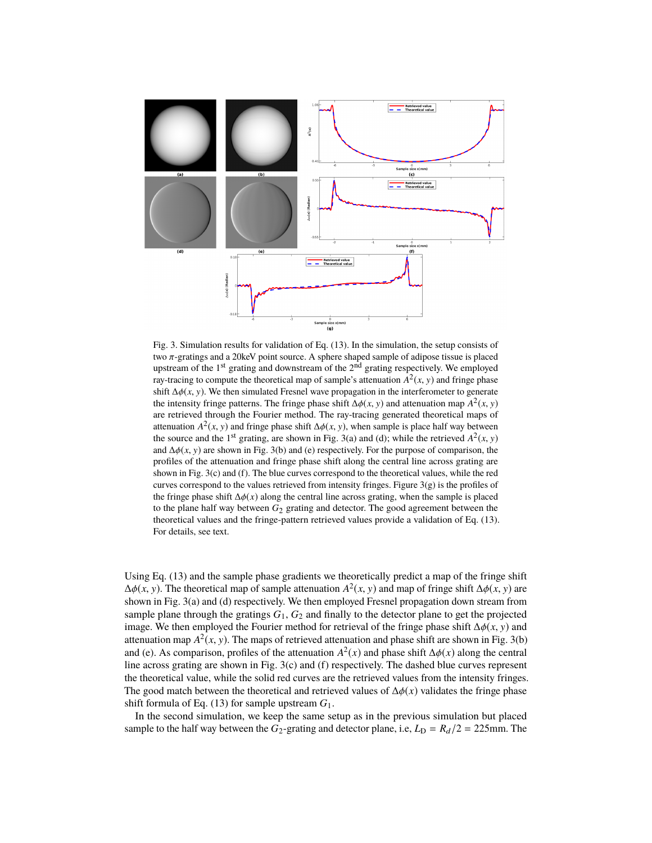

<span id="page-6-0"></span>Fig. 3. Simulation results for validation of Eq. [\(13\)](#page-5-3). In the simulation, the setup consists of two π-gratings and a 20keV point source. A sphere shaped sample of adipose tissue is placed upstream of the 1<sup>st</sup> grating and downstream of the 2<sup>nd</sup> grating respectively. We employed ray-tracing to compute the theoretical map of sample's attenuation  $A^2(x, y)$  and fringe phase<br>shift  $A A(x, y)$ . We then simulated Fresnal wave propagation in the interferometer to generate shift  $\Delta \phi(x, y)$ . We then simulated Fresnel wave propagation in the interferometer to generate the intensity fringe patterns. The fringe phase shift  $\Delta \phi(x, y)$  and attenuation map  $A^2(x, y)$ <br>are retrieved through the Fourier method. The ray-tracing generated theoretical maps of are retrieved through the Fourier method. The ray-tracing generated theoretical maps of attenuation  $A^2(x, y)$  and fringe phase shift  $\Delta \phi(x, y)$ , when sample is place half way between<br>the source and the 1<sup>st</sup> grating are shown in Fig. 3(a) and (d); while the retrieved  $A^2(x, y)$ the source and the 1<sup>st</sup> grating, are shown in Fig. 3(a) and (d); while the retrieved  $A^2(x, y)$ <br>and  $A \phi(x, y)$  are shown in Fig. 3(b) and (e) respectively. For the purpose of comparison, the and  $\Delta\phi(x, y)$  are shown in Fig. [3\(](#page-6-0)b) and (e) respectively. For the purpose of comparison, the profiles of the attenuation and fringe phase shift along the central line across grating are shown in Fig. [3\(](#page-6-0)c) and (f). The blue curves correspond to the theoretical values, while the red curves correspond to the values retrieved from intensity fringes. Figure  $3(g)$  $3(g)$  is the profiles of the fringe phase shift  $\Delta \phi(x)$  along the central line across grating, when the sample is placed to the plane half way between  $G_2$  grating and detector. The good agreement between the theoretical values and the fringe-pattern retrieved values provide a validation of Eq. [\(13\)](#page-5-3). For details, see text.

Using Eq. [\(13\)](#page-5-3) and the sample phase gradients we theoretically predict a map of the fringe shift  $\Delta\phi(x, y)$ . The theoretical map of sample attenuation  $A^2(x, y)$  and map of fringe shift  $\Delta\phi(x, y)$  are shown in Fig. 3(a) and (d) respectively. We then employed Fresnel propagation down stream from shown in Fig. [3\(](#page-6-0)a) and (d) respectively. We then employed Fresnel propagation down stream from sample plane through the gratings  $G_1$ ,  $G_2$  and finally to the detector plane to get the projected image. We then employed the Fourier method for retrieval of the fringe phase shift <sup>∆</sup>φ(*x*, <sup>y</sup>) and attenuation map  $A^2(x, y)$ . The maps of retrieved attenuation and phase shift are shown in Fig. [3\(](#page-6-0)b) and  $e^{(x)}$  and  $e^{(x)}$  and phase shift  $\Delta\phi(x)$  along the central and (e). As comparison, profiles of the attenuation  $A^2(x)$  and phase shift  $\Delta\phi(x)$  along the central<br>line across grating are shown in Fig. 3(c) and (f) respectively. The dashed blue curves represent line across grating are shown in Fig. [3\(](#page-6-0)c) and (f) respectively. The dashed blue curves represent the theoretical value, while the solid red curves are the retrieved values from the intensity fringes. The good match between the theoretical and retrieved values of  $\Delta \phi(x)$  validates the fringe phase shift formula of Eq. [\(13\)](#page-5-3) for sample upstream *G*1.

In the second simulation, we keep the same setup as in the previous simulation but placed sample to the half way between the  $G_2$ -grating and detector plane, i.e,  $L_D = R_d/2 = 225$ mm. The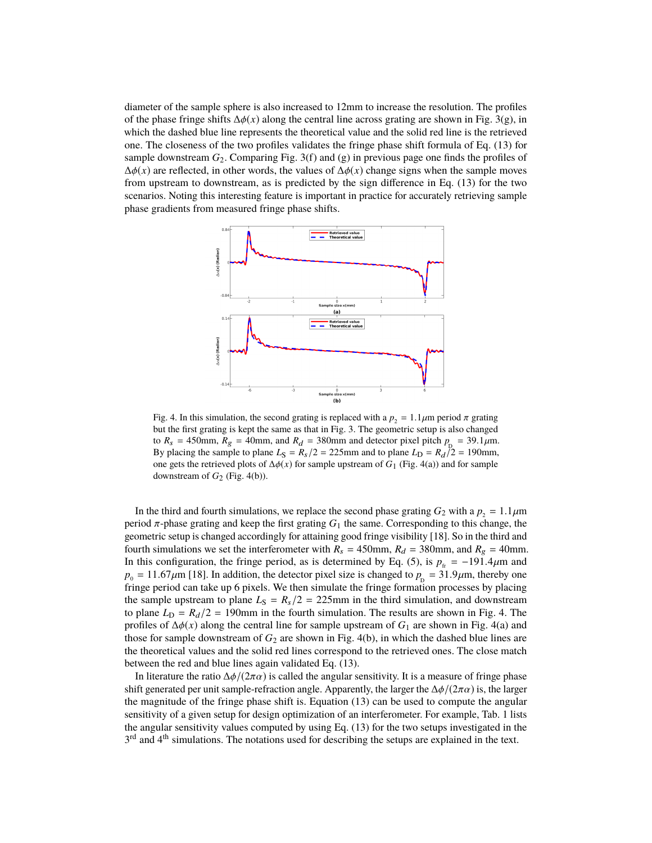diameter of the sample sphere is also increased to 12mm to increase the resolution. The profiles of the phase fringe shifts  $\Delta\phi(x)$  along the central line across grating are shown in Fig. [3\(](#page-6-0)g), in which the dashed blue line represents the theoretical value and the solid red line is the retrieved one. The closeness of the two profiles validates the fringe phase shift formula of Eq. [\(13\)](#page-5-3) for sample downstream *G*2. Comparing Fig. [3\(](#page-6-0)f) and (g) in previous page one finds the profiles of  $\Delta\phi(x)$  are reflected, in other words, the values of  $\Delta\phi(x)$  change signs when the sample moves from upstream to downstream, as is predicted by the sign difference in Eq. [\(13\)](#page-5-3) for the two scenarios. Noting this interesting feature is important in practice for accurately retrieving sample phase gradients from measured fringe phase shifts.



<span id="page-7-0"></span>Fig. 4. In this simulation, the second grating is replaced with a  $p_2 = 1.1 \mu m$  period  $\pi$  grating but the first grating is kept the same as that in Fig. [3.](#page-6-0) The geometric setup is also changed to  $R_s = 450$ mm,  $R_g = 40$ mm, and  $R_d = 380$ mm and detector pixel pitch  $p_p = 39.1 \mu$ m.<br>By placing the sample to plane  $I_s = R_s/2 = 225$ mm and to plane  $I_s = R_s/2 = 190$ mm. By placing the sample to plane  $L_S = R_S/2 = 225$ mm and to plane  $L_D = R_d/2 = 190$ mm, one gets the retrieved plots of  $\Delta \phi(x)$  for sample upstream of *G*<sub>1</sub> (Fig. [4\(](#page-7-0)a)) and for sample downstream of  $G_2$  (Fig. [4\(](#page-7-0)b)).

In the third and fourth simulations, we replace the second phase grating  $G_2$  with a  $p_2 = 1.1 \mu m$ period  $π$ -phase grating and keep the first grating  $G_1$  the same. Corresponding to this change, the geometric setup is changed accordingly for attaining good fringe visibility [\[18\]](#page-0-4). So in the third and fourth simulations we set the interferometer with  $R_s = 450$ mm,  $R_d = 380$ mm, and  $R_g = 40$ mm. In this configuration, the fringe period, as is determined by Eq. [\(5\)](#page-3-0), is  $p_f = -191.4 \mu m$  and  $p_0 = 11.67 \mu$ m [\[18\]](#page-0-4). In addition, the detector pixel size is changed to  $p_p = 31.9 \mu$ m, thereby one fringe period can take up 6 pixels. We then simulate the fringe formation processes by placing fringe period can take up 6 pixels. We then simulate the fringe formation processes by placing the sample upstream to plane  $L<sub>S</sub> = R<sub>s</sub>/2 = 225$ mm in the third simulation, and downstream to plane  $L<sub>D</sub> = R<sub>d</sub>/2 = 190$ mm in the fourth simulation. The results are shown in Fig. [4.](#page-7-0) The profiles of  $\Delta \phi(x)$  along the central line for sample upstream of  $G_1$  are shown in Fig. [4\(](#page-7-0)a) and those for sample downstream of  $G_2$  are shown in Fig. [4\(](#page-7-0)b), in which the dashed blue lines are the theoretical values and the solid red lines correspond to the retrieved ones. The close match between the red and blue lines again validated Eq. [\(13\)](#page-5-3).

In literature the ratio  $\Delta\phi/(2\pi\alpha)$  is called the angular sensitivity. It is a measure of fringe phase shift generated per unit sample-refraction angle. Apparently, the larger the  $\Delta\phi/(\sqrt{2\pi\alpha})$  is, the larger the magnitude of the fringe phase shift is. Equation [\(13\)](#page-5-3) can be used to compute the angular sensitivity of a given setup for design optimization of an interferometer. For example, Tab. [1](#page-8-1) lists the angular sensitivity values computed by using Eq. [\(13\)](#page-5-3) for the two setups investigated in the 3<sup>rd</sup> and 4<sup>th</sup> simulations. The notations used for describing the setups are explained in the text.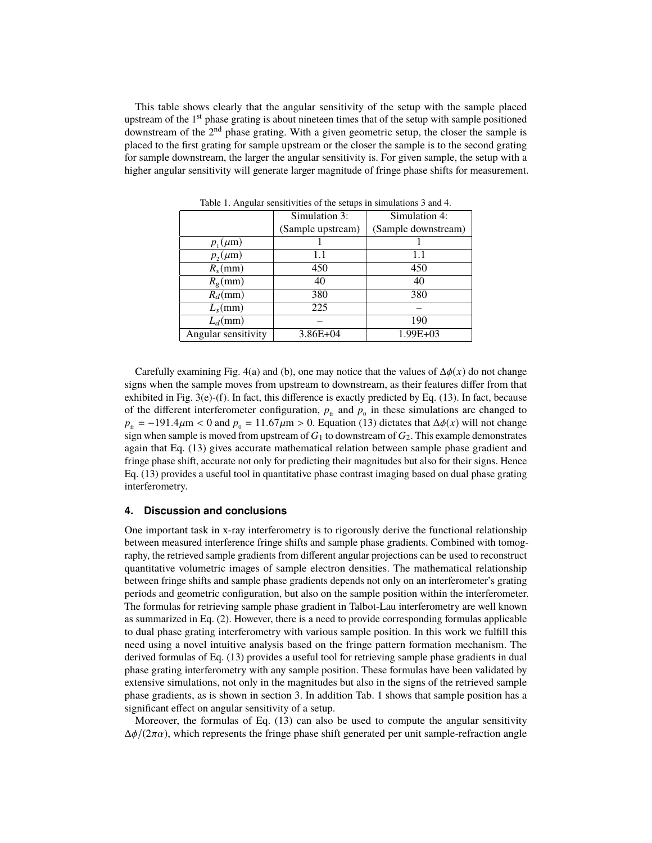This table shows clearly that the angular sensitivity of the setup with the sample placed upstream of the 1<sup>st</sup> phase grating is about nineteen times that of the setup with sample positioned downstream of the 2<sup>nd</sup> phase grating. With a given geometric setup, the closer the sample is placed to the first grating for sample upstream or the closer the sample is to the second grating for sample downstream, the larger the angular sensitivity is. For given sample, the setup with a higher angular sensitivity will generate larger magnitude of fringe phase shifts for measurement.

|                     | Simulation 3:     | Simulation 4:       |
|---------------------|-------------------|---------------------|
|                     | (Sample upstream) | (Sample downstream) |
| $p_1(\mu m)$        |                   |                     |
| $p_2(\mu m)$        | 1.1               | 1.1                 |
| $R_s$ (mm)          | 450               | 450                 |
| $R_{\rm e}$ (mm)    | 40                | 40                  |
| $R_d$ (mm)          | 380               | 380                 |
| $L_s$ (mm)          | 225               |                     |
| $L_d$ (mm)          |                   | 190                 |
| Angular sensitivity | $3.86E + 04$      | $1.99E + 03$        |

<span id="page-8-1"></span>Table 1. Angular sensitivities of the setups in simulations 3 and 4.

Carefully examining Fig. [4\(](#page-7-0)a) and (b), one may notice that the values of  $\Delta\phi(x)$  do not change signs when the sample moves from upstream to downstream, as their features differ from that exhibited in Fig.  $3(e)$  $3(e)$ -(f). In fact, this difference is exactly predicted by Eq. [\(13\)](#page-5-3). In fact, because of the different interferometer configuration,  $p_{\text{fr}}$  and  $p_0$  in these simulations are changed to  $p_f = -191.4 \mu$ m < 0 and  $p_0 = 11.67 \mu$ m > 0. Equation [\(13\)](#page-5-3) dictates that  $\Delta \phi(x)$  will not change sign when sample is moved from upstream of *G*<sup>1</sup> to downstream of *G*2. This example demonstrates again that Eq. [\(13\)](#page-5-3) gives accurate mathematical relation between sample phase gradient and fringe phase shift, accurate not only for predicting their magnitudes but also for their signs. Hence Eq. [\(13\)](#page-5-3) provides a useful tool in quantitative phase contrast imaging based on dual phase grating interferometry.

#### <span id="page-8-0"></span>**4. Discussion and conclusions**

One important task in x-ray interferometry is to rigorously derive the functional relationship between measured interference fringe shifts and sample phase gradients. Combined with tomography, the retrieved sample gradients from different angular projections can be used to reconstruct quantitative volumetric images of sample electron densities. The mathematical relationship between fringe shifts and sample phase gradients depends not only on an interferometer's grating periods and geometric configuration, but also on the sample position within the interferometer. The formulas for retrieving sample phase gradient in Talbot-Lau interferometry are well known as summarized in Eq. [\(2\)](#page-1-2). However, there is a need to provide corresponding formulas applicable to dual phase grating interferometry with various sample position. In this work we fulfill this need using a novel intuitive analysis based on the fringe pattern formation mechanism. The derived formulas of Eq. [\(13\)](#page-5-3) provides a useful tool for retrieving sample phase gradients in dual phase grating interferometry with any sample position. These formulas have been validated by extensive simulations, not only in the magnitudes but also in the signs of the retrieved sample phase gradients, as is shown in section [3.](#page-5-0) In addition Tab. [1](#page-8-1) shows that sample position has a significant effect on angular sensitivity of a setup.

Moreover, the formulas of Eq. [\(13\)](#page-5-3) can also be used to compute the angular sensitivity  $\Delta\phi/(2\pi\alpha)$ , which represents the fringe phase shift generated per unit sample-refraction angle